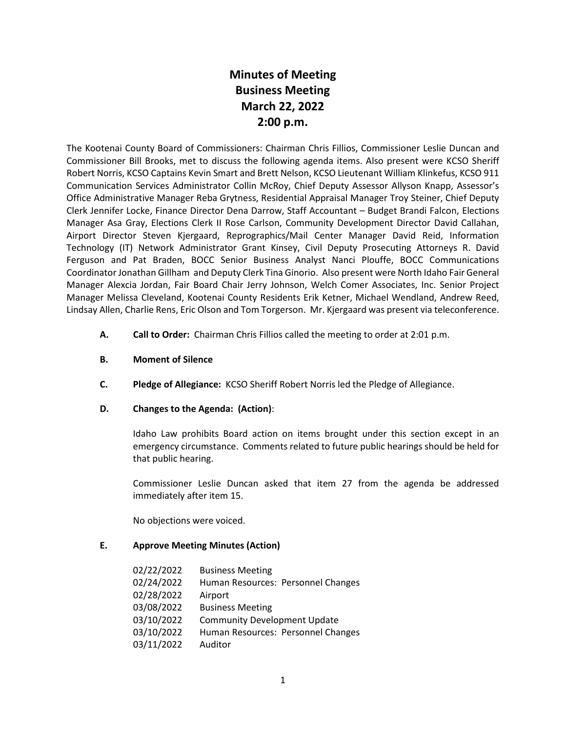# **Minutes of Meeting Business Meeting March 22, 2022 2:00 p.m.**

The Kootenai County Board of Commissioners: Chairman Chris Fillios, Commissioner Leslie Duncan and Commissioner Bill Brooks, met to discuss the following agenda items. Also present were KCSO Sheriff Robert Norris, KCSO Captains Kevin Smart and Brett Nelson, KCSO Lieutenant William Klinkefus, KCSO 911 Communication Services Administrator Collin McRoy, Chief Deputy Assessor Allyson Knapp, Assessor's Office Administrative Manager Reba Grytness, Residential Appraisal Manager Troy Steiner, Chief Deputy Clerk Jennifer Locke, Finance Director Dena Darrow, Staff Accountant – Budget Brandi Falcon, Elections Manager Asa Gray, Elections Clerk II Rose Carlson, Community Development Director David Callahan, Airport Director Steven Kjergaard, Reprographics/Mail Center Manager David Reid, Information Technology (IT) Network Administrator Grant Kinsey, Civil Deputy Prosecuting Attorneys R. David Ferguson and Pat Braden, BOCC Senior Business Analyst Nanci Plouffe, BOCC Communications Coordinator Jonathan Gillham and Deputy Clerk Tina Ginorio. Also present were North Idaho Fair General Manager Alexcia Jordan, Fair Board Chair Jerry Johnson, Welch Comer Associates, Inc. Senior Project Manager Melissa Cleveland, Kootenai County Residents Erik Ketner, Michael Wendland, Andrew Reed, Lindsay Allen, Charlie Rens, Eric Olson and Tom Torgerson. Mr. Kjergaard was present via teleconference.

- **A. Call to Order:** Chairman Chris Fillios called the meeting to order at 2:01 p.m.
- **B. Moment of Silence**
- **C. Pledge of Allegiance:** KCSO Sheriff Robert Norris led the Pledge of Allegiance.

### **D. Changes to the Agenda: (Action)**:

Idaho Law prohibits Board action on items brought under this section except in an emergency circumstance. Comments related to future public hearings should be held for that public hearing.

Commissioner Leslie Duncan asked that item 27 from the agenda be addressed immediately after item 15.

No objections were voiced.

### **E. Approve Meeting Minutes (Action)**

| 02/22/2022 | <b>Business Meeting</b>             |
|------------|-------------------------------------|
| 02/24/2022 | Human Resources: Personnel Changes  |
| 02/28/2022 | Airport                             |
| 03/08/2022 | <b>Business Meeting</b>             |
| 03/10/2022 | <b>Community Development Update</b> |
| 03/10/2022 | Human Resources: Personnel Changes  |
| 03/11/2022 | Auditor                             |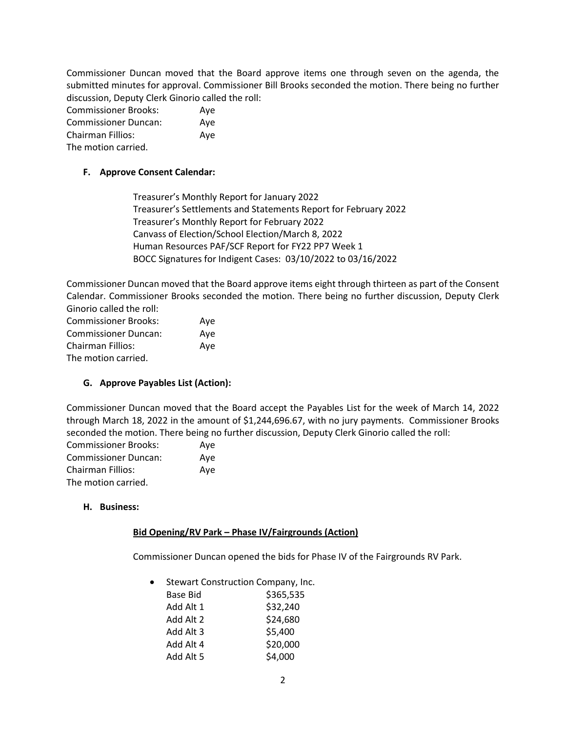Commissioner Duncan moved that the Board approve items one through seven on the agenda, the submitted minutes for approval. Commissioner Bill Brooks seconded the motion. There being no further discussion, Deputy Clerk Ginorio called the roll:

| <b>Commissioner Brooks:</b> | Aye |
|-----------------------------|-----|
| <b>Commissioner Duncan:</b> | Ave |
| <b>Chairman Fillios:</b>    | Aye |
| The motion carried.         |     |

### **F. Approve Consent Calendar:**

Treasurer's Monthly Report for January 2022 Treasurer's Settlements and Statements Report for February 2022 Treasurer's Monthly Report for February 2022 Canvass of Election/School Election/March 8, 2022 Human Resources PAF/SCF Report for FY22 PP7 Week 1 BOCC Signatures for Indigent Cases: 03/10/2022 to 03/16/2022

Commissioner Duncan moved that the Board approve items eight through thirteen as part of the Consent Calendar. Commissioner Brooks seconded the motion. There being no further discussion, Deputy Clerk Ginorio called the roll:

| <b>Commissioner Brooks:</b> | Aye |
|-----------------------------|-----|
| <b>Commissioner Duncan:</b> | Aye |
| Chairman Fillios:           | Ave |
| The motion carried.         |     |

### **G. Approve Payables List (Action):**

Commissioner Duncan moved that the Board accept the Payables List for the week of March 14, 2022 through March 18, 2022 in the amount of \$1,244,696.67, with no jury payments. Commissioner Brooks seconded the motion. There being no further discussion, Deputy Clerk Ginorio called the roll:

| <b>Commissioner Brooks:</b> | Ave |
|-----------------------------|-----|
| <b>Commissioner Duncan:</b> | Ave |
| Chairman Fillios:           | Ave |
| The motion carried.         |     |

#### **H. Business:**

### **Bid Opening/RV Park – Phase IV/Fairgrounds (Action)**

Commissioner Duncan opened the bids for Phase IV of the Fairgrounds RV Park.

• Stewart Construction Company, Inc.

| Base Bid  | \$365,535 |
|-----------|-----------|
| Add Alt 1 | \$32,240  |
| Add Alt 2 | \$24,680  |
| Add Alt 3 | \$5,400   |
| Add Alt 4 | \$20,000  |
| Add Alt 5 | \$4,000   |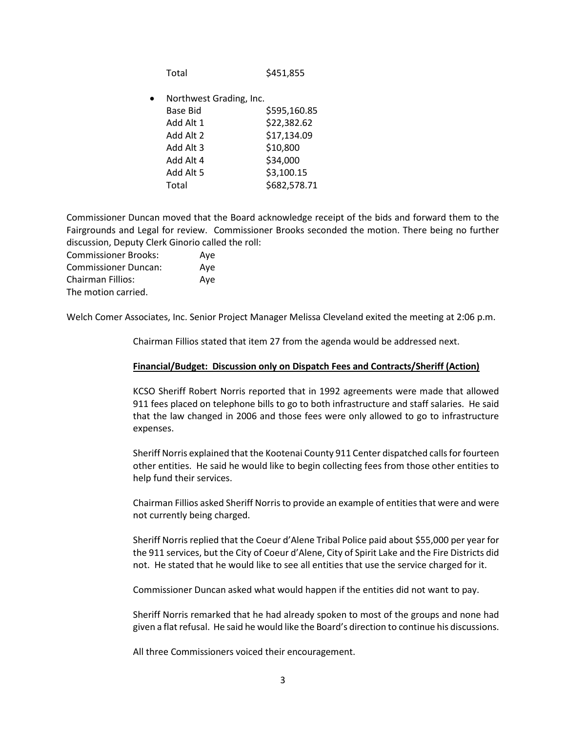Total \$451,855

• Northwest Grading, Inc.

| <b>Base Bid</b> | \$595,160.85 |
|-----------------|--------------|
| Add Alt 1       | \$22,382.62  |
| Add Alt 2       | \$17,134.09  |
| Add Alt 3       | \$10,800     |
| Add Alt 4       | \$34,000     |
| Add Alt 5       | \$3,100.15   |
| Total           | \$682,578.71 |
|                 |              |

Commissioner Duncan moved that the Board acknowledge receipt of the bids and forward them to the Fairgrounds and Legal for review. Commissioner Brooks seconded the motion. There being no further discussion, Deputy Clerk Ginorio called the roll:

| <b>Commissioner Brooks:</b> | Ave |
|-----------------------------|-----|
| <b>Commissioner Duncan:</b> | Ave |
| Chairman Fillios:           | Aye |
| The motion carried.         |     |

Welch Comer Associates, Inc. Senior Project Manager Melissa Cleveland exited the meeting at 2:06 p.m.

Chairman Fillios stated that item 27 from the agenda would be addressed next.

#### **Financial/Budget: Discussion only on Dispatch Fees and Contracts/Sheriff (Action)**

KCSO Sheriff Robert Norris reported that in 1992 agreements were made that allowed 911 fees placed on telephone bills to go to both infrastructure and staff salaries. He said that the law changed in 2006 and those fees were only allowed to go to infrastructure expenses.

Sheriff Norris explained that the Kootenai County 911 Center dispatched calls for fourteen other entities. He said he would like to begin collecting fees from those other entities to help fund their services.

Chairman Fillios asked Sheriff Norris to provide an example of entities that were and were not currently being charged.

Sheriff Norris replied that the Coeur d'Alene Tribal Police paid about \$55,000 per year for the 911 services, but the City of Coeur d'Alene, City of Spirit Lake and the Fire Districts did not. He stated that he would like to see all entities that use the service charged for it.

Commissioner Duncan asked what would happen if the entities did not want to pay.

Sheriff Norris remarked that he had already spoken to most of the groups and none had given a flat refusal. He said he would like the Board's direction to continue his discussions.

All three Commissioners voiced their encouragement.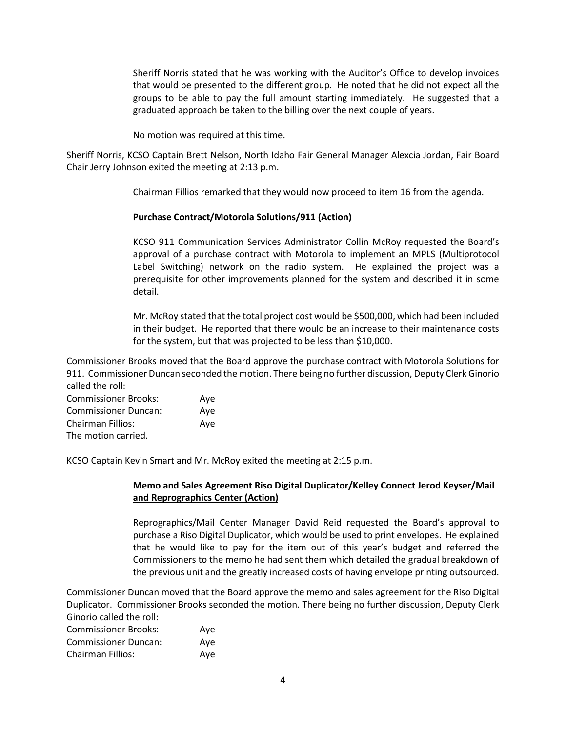Sheriff Norris stated that he was working with the Auditor's Office to develop invoices that would be presented to the different group. He noted that he did not expect all the groups to be able to pay the full amount starting immediately. He suggested that a graduated approach be taken to the billing over the next couple of years.

No motion was required at this time.

Sheriff Norris, KCSO Captain Brett Nelson, North Idaho Fair General Manager Alexcia Jordan, Fair Board Chair Jerry Johnson exited the meeting at 2:13 p.m.

Chairman Fillios remarked that they would now proceed to item 16 from the agenda.

#### **Purchase Contract/Motorola Solutions/911 (Action)**

KCSO 911 Communication Services Administrator Collin McRoy requested the Board's approval of a purchase contract with Motorola to implement an MPLS (Multiprotocol Label Switching) network on the radio system. He explained the project was a prerequisite for other improvements planned for the system and described it in some detail.

Mr. McRoy stated that the total project cost would be \$500,000, which had been included in their budget. He reported that there would be an increase to their maintenance costs for the system, but that was projected to be less than \$10,000.

Commissioner Brooks moved that the Board approve the purchase contract with Motorola Solutions for 911. Commissioner Duncan seconded the motion. There being no further discussion, Deputy Clerk Ginorio called the roll:

| <b>Commissioner Brooks:</b> | Ave |
|-----------------------------|-----|
| <b>Commissioner Duncan:</b> | Ave |
| Chairman Fillios:           | Ave |
| The motion carried.         |     |

KCSO Captain Kevin Smart and Mr. McRoy exited the meeting at 2:15 p.m.

### **Memo and Sales Agreement Riso Digital Duplicator/Kelley Connect Jerod Keyser/Mail and Reprographics Center (Action)**

Reprographics/Mail Center Manager David Reid requested the Board's approval to purchase a Riso Digital Duplicator, which would be used to print envelopes. He explained that he would like to pay for the item out of this year's budget and referred the Commissioners to the memo he had sent them which detailed the gradual breakdown of the previous unit and the greatly increased costs of having envelope printing outsourced.

Commissioner Duncan moved that the Board approve the memo and sales agreement for the Riso Digital Duplicator. Commissioner Brooks seconded the motion. There being no further discussion, Deputy Clerk Ginorio called the roll:

| <b>Commissioner Brooks:</b> | Ave |
|-----------------------------|-----|
| <b>Commissioner Duncan:</b> | Ave |
| Chairman Fillios:           | Ave |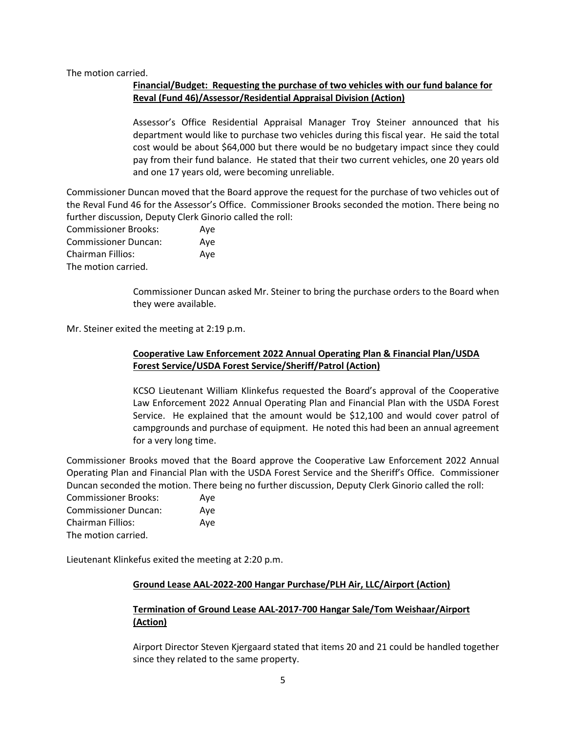The motion carried.

### **Financial/Budget: Requesting the purchase of two vehicles with our fund balance for Reval (Fund 46)/Assessor/Residential Appraisal Division (Action)**

Assessor's Office Residential Appraisal Manager Troy Steiner announced that his department would like to purchase two vehicles during this fiscal year. He said the total cost would be about \$64,000 but there would be no budgetary impact since they could pay from their fund balance. He stated that their two current vehicles, one 20 years old and one 17 years old, were becoming unreliable.

Commissioner Duncan moved that the Board approve the request for the purchase of two vehicles out of the Reval Fund 46 for the Assessor's Office. Commissioner Brooks seconded the motion. There being no further discussion, Deputy Clerk Ginorio called the roll:

| <b>Commissioner Brooks:</b> | Aye |
|-----------------------------|-----|
| <b>Commissioner Duncan:</b> | Ave |
| <b>Chairman Fillios:</b>    | Ave |
| The motion carried.         |     |

Commissioner Duncan asked Mr. Steiner to bring the purchase orders to the Board when they were available.

Mr. Steiner exited the meeting at 2:19 p.m.

### **Cooperative Law Enforcement 2022 Annual Operating Plan & Financial Plan/USDA Forest Service/USDA Forest Service/Sheriff/Patrol (Action)**

KCSO Lieutenant William Klinkefus requested the Board's approval of the Cooperative Law Enforcement 2022 Annual Operating Plan and Financial Plan with the USDA Forest Service. He explained that the amount would be \$12,100 and would cover patrol of campgrounds and purchase of equipment. He noted this had been an annual agreement for a very long time.

Commissioner Brooks moved that the Board approve the Cooperative Law Enforcement 2022 Annual Operating Plan and Financial Plan with the USDA Forest Service and the Sheriff's Office. Commissioner Duncan seconded the motion. There being no further discussion, Deputy Clerk Ginorio called the roll:

Commissioner Brooks: Aye Commissioner Duncan: Aye Chairman Fillios: Aye The motion carried.

Lieutenant Klinkefus exited the meeting at 2:20 p.m.

### **Ground Lease AAL-2022-200 Hangar Purchase/PLH Air, LLC/Airport (Action)**

### **Termination of Ground Lease AAL-2017-700 Hangar Sale/Tom Weishaar/Airport (Action)**

Airport Director Steven Kjergaard stated that items 20 and 21 could be handled together since they related to the same property.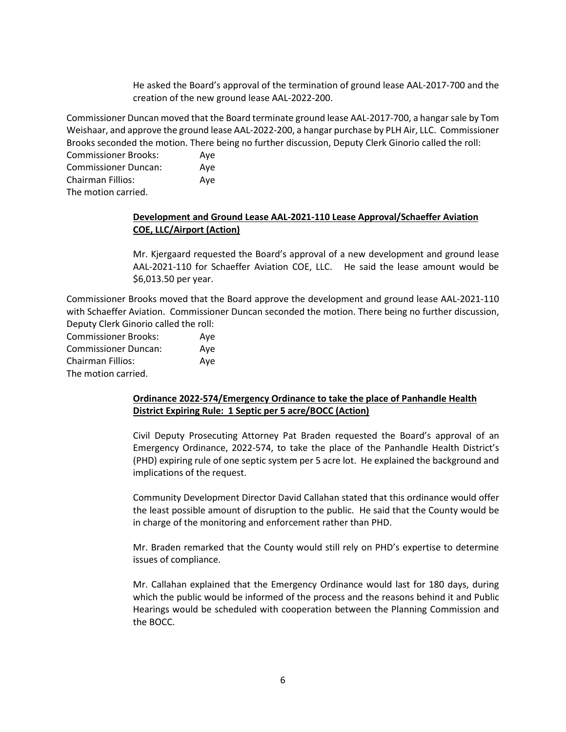He asked the Board's approval of the termination of ground lease AAL-2017-700 and the creation of the new ground lease AAL-2022-200.

Commissioner Duncan moved that the Board terminate ground lease AAL-2017-700, a hangar sale by Tom Weishaar, and approve the ground lease AAL-2022-200, a hangar purchase by PLH Air, LLC. Commissioner Brooks seconded the motion. There being no further discussion, Deputy Clerk Ginorio called the roll:

Commissioner Brooks: Aye Commissioner Duncan: Aye Chairman Fillios: Aye The motion carried.

### **Development and Ground Lease AAL-2021-110 Lease Approval/Schaeffer Aviation COE, LLC/Airport (Action)**

Mr. Kjergaard requested the Board's approval of a new development and ground lease AAL-2021-110 for Schaeffer Aviation COE, LLC. He said the lease amount would be \$6,013.50 per year.

Commissioner Brooks moved that the Board approve the development and ground lease AAL-2021-110 with Schaeffer Aviation. Commissioner Duncan seconded the motion. There being no further discussion, Deputy Clerk Ginorio called the roll:

| <b>Commissioner Brooks:</b> | Ave |
|-----------------------------|-----|
| <b>Commissioner Duncan:</b> | Ave |
| <b>Chairman Fillios:</b>    | Ave |
| The motion carried.         |     |

### **Ordinance 2022-574/Emergency Ordinance to take the place of Panhandle Health District Expiring Rule: 1 Septic per 5 acre/BOCC (Action)**

Civil Deputy Prosecuting Attorney Pat Braden requested the Board's approval of an Emergency Ordinance, 2022-574, to take the place of the Panhandle Health District's (PHD) expiring rule of one septic system per 5 acre lot. He explained the background and implications of the request.

Community Development Director David Callahan stated that this ordinance would offer the least possible amount of disruption to the public. He said that the County would be in charge of the monitoring and enforcement rather than PHD.

Mr. Braden remarked that the County would still rely on PHD's expertise to determine issues of compliance.

Mr. Callahan explained that the Emergency Ordinance would last for 180 days, during which the public would be informed of the process and the reasons behind it and Public Hearings would be scheduled with cooperation between the Planning Commission and the BOCC.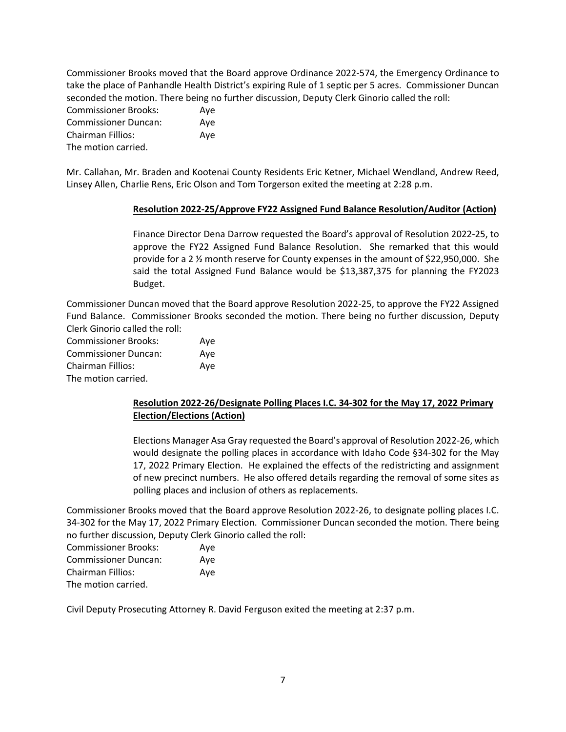Commissioner Brooks moved that the Board approve Ordinance 2022-574, the Emergency Ordinance to take the place of Panhandle Health District's expiring Rule of 1 septic per 5 acres. Commissioner Duncan seconded the motion. There being no further discussion, Deputy Clerk Ginorio called the roll:

| <b>Commissioner Brooks:</b> | Aye |
|-----------------------------|-----|
| <b>Commissioner Duncan:</b> | Ave |
| <b>Chairman Fillios:</b>    | Aye |
| The motion carried.         |     |

Mr. Callahan, Mr. Braden and Kootenai County Residents Eric Ketner, Michael Wendland, Andrew Reed, Linsey Allen, Charlie Rens, Eric Olson and Tom Torgerson exited the meeting at 2:28 p.m.

### **Resolution 2022-25/Approve FY22 Assigned Fund Balance Resolution/Auditor (Action)**

Finance Director Dena Darrow requested the Board's approval of Resolution 2022-25, to approve the FY22 Assigned Fund Balance Resolution. She remarked that this would provide for a 2 ½ month reserve for County expenses in the amount of \$22,950,000. She said the total Assigned Fund Balance would be \$13,387,375 for planning the FY2023 Budget.

Commissioner Duncan moved that the Board approve Resolution 2022-25, to approve the FY22 Assigned Fund Balance. Commissioner Brooks seconded the motion. There being no further discussion, Deputy Clerk Ginorio called the roll:

| <b>Commissioner Brooks:</b> | Aye |
|-----------------------------|-----|
| <b>Commissioner Duncan:</b> | Ave |
| <b>Chairman Fillios:</b>    | Ave |
| The motion carried.         |     |

## **Resolution 2022-26/Designate Polling Places I.C. 34-302 for the May 17, 2022 Primary Election/Elections (Action)**

Elections Manager Asa Gray requested the Board's approval of Resolution 2022-26, which would designate the polling places in accordance with Idaho Code §34-302 for the May 17, 2022 Primary Election. He explained the effects of the redistricting and assignment of new precinct numbers. He also offered details regarding the removal of some sites as polling places and inclusion of others as replacements.

Commissioner Brooks moved that the Board approve Resolution 2022-26, to designate polling places I.C. 34-302 for the May 17, 2022 Primary Election. Commissioner Duncan seconded the motion. There being no further discussion, Deputy Clerk Ginorio called the roll:

| <b>Commissioner Brooks:</b> | Ave |
|-----------------------------|-----|
| <b>Commissioner Duncan:</b> | Ave |
| <b>Chairman Fillios:</b>    | Ave |
| The motion carried.         |     |

Civil Deputy Prosecuting Attorney R. David Ferguson exited the meeting at 2:37 p.m.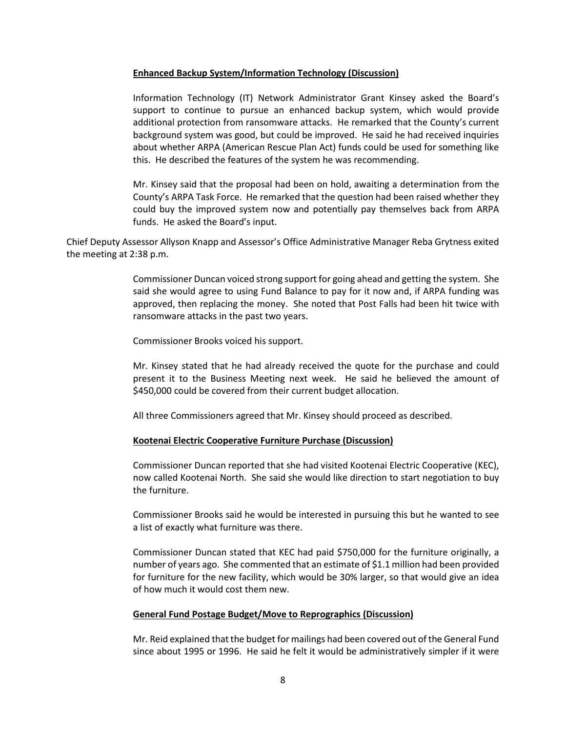#### **Enhanced Backup System/Information Technology (Discussion)**

Information Technology (IT) Network Administrator Grant Kinsey asked the Board's support to continue to pursue an enhanced backup system, which would provide additional protection from ransomware attacks. He remarked that the County's current background system was good, but could be improved. He said he had received inquiries about whether ARPA (American Rescue Plan Act) funds could be used for something like this. He described the features of the system he was recommending.

Mr. Kinsey said that the proposal had been on hold, awaiting a determination from the County's ARPA Task Force. He remarked that the question had been raised whether they could buy the improved system now and potentially pay themselves back from ARPA funds. He asked the Board's input.

Chief Deputy Assessor Allyson Knapp and Assessor's Office Administrative Manager Reba Grytness exited the meeting at 2:38 p.m.

> Commissioner Duncan voiced strong support for going ahead and getting the system. She said she would agree to using Fund Balance to pay for it now and, if ARPA funding was approved, then replacing the money. She noted that Post Falls had been hit twice with ransomware attacks in the past two years.

Commissioner Brooks voiced his support.

Mr. Kinsey stated that he had already received the quote for the purchase and could present it to the Business Meeting next week. He said he believed the amount of \$450,000 could be covered from their current budget allocation.

All three Commissioners agreed that Mr. Kinsey should proceed as described.

### **Kootenai Electric Cooperative Furniture Purchase (Discussion)**

Commissioner Duncan reported that she had visited Kootenai Electric Cooperative (KEC), now called Kootenai North. She said she would like direction to start negotiation to buy the furniture.

Commissioner Brooks said he would be interested in pursuing this but he wanted to see a list of exactly what furniture was there.

Commissioner Duncan stated that KEC had paid \$750,000 for the furniture originally, a number of years ago. She commented that an estimate of \$1.1 million had been provided for furniture for the new facility, which would be 30% larger, so that would give an idea of how much it would cost them new.

#### **General Fund Postage Budget/Move to Reprographics (Discussion)**

Mr. Reid explained that the budget for mailings had been covered out of the General Fund since about 1995 or 1996. He said he felt it would be administratively simpler if it were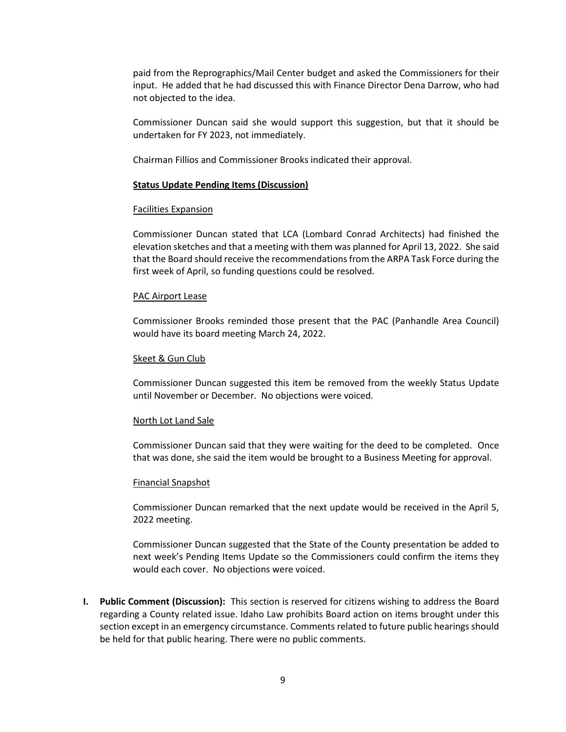paid from the Reprographics/Mail Center budget and asked the Commissioners for their input. He added that he had discussed this with Finance Director Dena Darrow, who had not objected to the idea.

Commissioner Duncan said she would support this suggestion, but that it should be undertaken for FY 2023, not immediately.

Chairman Fillios and Commissioner Brooks indicated their approval.

#### **Status Update Pending Items (Discussion)**

#### Facilities Expansion

Commissioner Duncan stated that LCA (Lombard Conrad Architects) had finished the elevation sketches and that a meeting with them was planned for April 13, 2022. She said that the Board should receive the recommendations from the ARPA Task Force during the first week of April, so funding questions could be resolved.

#### PAC Airport Lease

Commissioner Brooks reminded those present that the PAC (Panhandle Area Council) would have its board meeting March 24, 2022.

#### Skeet & Gun Club

Commissioner Duncan suggested this item be removed from the weekly Status Update until November or December. No objections were voiced.

#### North Lot Land Sale

Commissioner Duncan said that they were waiting for the deed to be completed. Once that was done, she said the item would be brought to a Business Meeting for approval.

#### Financial Snapshot

Commissioner Duncan remarked that the next update would be received in the April 5, 2022 meeting.

Commissioner Duncan suggested that the State of the County presentation be added to next week's Pending Items Update so the Commissioners could confirm the items they would each cover. No objections were voiced.

**I. Public Comment (Discussion):** This section is reserved for citizens wishing to address the Board regarding a County related issue. Idaho Law prohibits Board action on items brought under this section except in an emergency circumstance. Comments related to future public hearings should be held for that public hearing. There were no public comments.